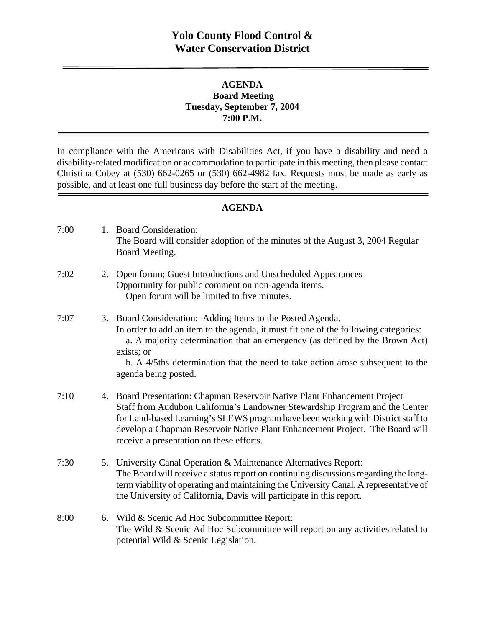## **AGENDA Board Meeting Tuesday, September 7, 2004 7:00 P.M.**

In compliance with the Americans with Disabilities Act, if you have a disability and need a disability-related modification or accommodation to participate in this meeting, then please contact Christina Cobey at (530) 662-0265 or (530) 662-4982 fax. Requests must be made as early as possible, and at least one full business day before the start of the meeting.

#### **AGENDA**

| 7:00 |    | 1. Board Consideration:<br>The Board will consider adoption of the minutes of the August 3, 2004 Regular<br>Board Meeting.                                                                                                                                                                                                                                                |
|------|----|---------------------------------------------------------------------------------------------------------------------------------------------------------------------------------------------------------------------------------------------------------------------------------------------------------------------------------------------------------------------------|
| 7:02 | 2. | Open forum; Guest Introductions and Unscheduled Appearances<br>Opportunity for public comment on non-agenda items.<br>Open forum will be limited to five minutes.                                                                                                                                                                                                         |
| 7:07 |    | 3. Board Consideration: Adding Items to the Posted Agenda.<br>In order to add an item to the agenda, it must fit one of the following categories:<br>a. A majority determination that an emergency (as defined by the Brown Act)<br>exists; or<br>b. A 4/5ths determination that the need to take action arose subsequent to the<br>agenda being posted.                  |
| 7:10 |    | 4. Board Presentation: Chapman Reservoir Native Plant Enhancement Project<br>Staff from Audubon California's Landowner Stewardship Program and the Center<br>for Land-based Learning's SLEWS program have been working with District staff to<br>develop a Chapman Reservoir Native Plant Enhancement Project. The Board will<br>receive a presentation on these efforts. |
| 7:30 |    | 5. University Canal Operation & Maintenance Alternatives Report:<br>The Board will receive a status report on continuing discussions regarding the long-<br>term viability of operating and maintaining the University Canal. A representative of<br>the University of California, Davis will participate in this report.                                                 |
| 8:00 |    | 6. Wild & Scenic Ad Hoc Subcommittee Report:<br>The Wild & Scenic Ad Hoc Subcommittee will report on any activities related to<br>potential Wild & Scenic Legislation.                                                                                                                                                                                                    |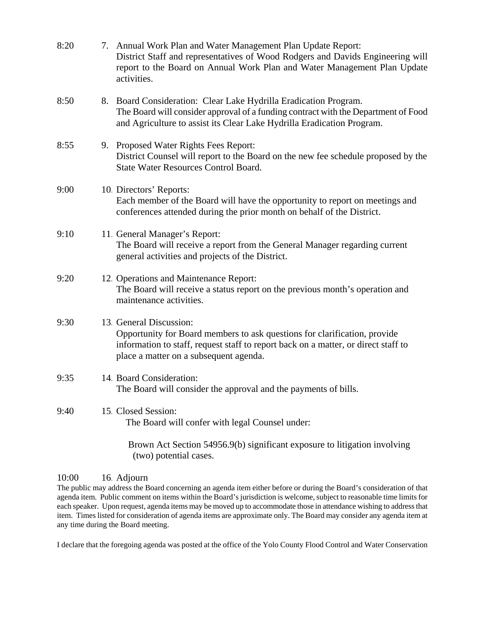| 8:20 | 7. Annual Work Plan and Water Management Plan Update Report:<br>District Staff and representatives of Wood Rodgers and Davids Engineering will<br>report to the Board on Annual Work Plan and Water Management Plan Update<br>activities. |
|------|-------------------------------------------------------------------------------------------------------------------------------------------------------------------------------------------------------------------------------------------|
| 8:50 | 8. Board Consideration: Clear Lake Hydrilla Eradication Program.<br>The Board will consider approval of a funding contract with the Department of Food<br>and Agriculture to assist its Clear Lake Hydrilla Eradication Program.          |
| 8:55 | 9. Proposed Water Rights Fees Report:<br>District Counsel will report to the Board on the new fee schedule proposed by the<br><b>State Water Resources Control Board.</b>                                                                 |
| 9:00 | 10. Directors' Reports:<br>Each member of the Board will have the opportunity to report on meetings and<br>conferences attended during the prior month on behalf of the District.                                                         |
| 9:10 | 11. General Manager's Report:<br>The Board will receive a report from the General Manager regarding current<br>general activities and projects of the District.                                                                           |
| 9:20 | 12. Operations and Maintenance Report:<br>The Board will receive a status report on the previous month's operation and<br>maintenance activities.                                                                                         |
| 9:30 | 13. General Discussion:<br>Opportunity for Board members to ask questions for clarification, provide<br>information to staff, request staff to report back on a matter, or direct staff to<br>place a matter on a subsequent agenda.      |
| 9:35 | 14. Board Consideration:<br>The Board will consider the approval and the payments of bills.                                                                                                                                               |
| 9:40 | 15 Closed Session:<br>The Board will confer with legal Counsel under:                                                                                                                                                                     |
|      | Brown Act Section 54956.9(b) significant exposure to litigation involving                                                                                                                                                                 |

#### 10:00 16. Adjourn

(two) potential cases.

The public may address the Board concerning an agenda item either before or during the Board's consideration of that agenda item. Public comment on items within the Board's jurisdiction is welcome, subject to reasonable time limits for each speaker. Upon request, agenda items may be moved up to accommodate those in attendance wishing to address that item. Times listed for consideration of agenda items are approximate only. The Board may consider any agenda item at any time during the Board meeting.

I declare that the foregoing agenda was posted at the office of the Yolo County Flood Control and Water Conservation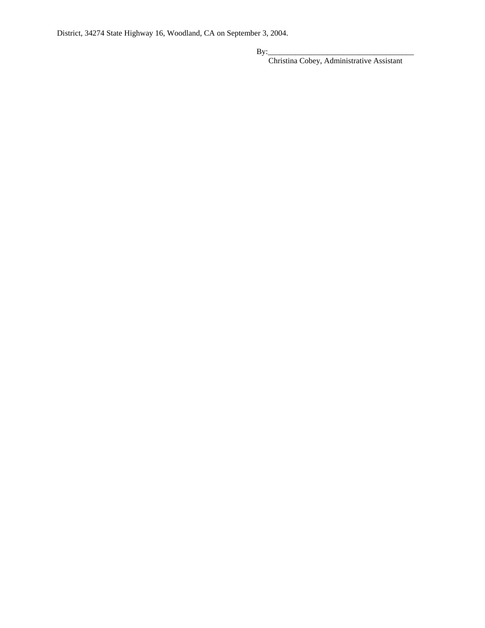District, 34274 State Highway 16, Woodland, CA on September 3, 2004.

By:\_\_\_\_\_\_\_\_\_\_\_\_\_\_\_\_\_\_\_\_\_\_\_\_\_\_\_\_\_\_\_\_\_\_\_\_\_

Christina Cobey, Administrative Assistant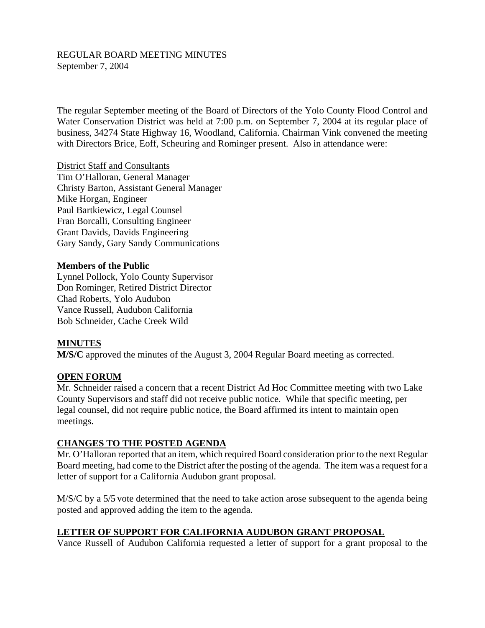#### REGULAR BOARD MEETING MINUTES September 7, 2004

The regular September meeting of the Board of Directors of the Yolo County Flood Control and Water Conservation District was held at 7:00 p.m. on September 7, 2004 at its regular place of business, 34274 State Highway 16, Woodland, California. Chairman Vink convened the meeting with Directors Brice, Eoff, Scheuring and Rominger present. Also in attendance were:

District Staff and Consultants Tim O'Halloran, General Manager Christy Barton, Assistant General Manager Mike Horgan, Engineer Paul Bartkiewicz, Legal Counsel Fran Borcalli, Consulting Engineer Grant Davids, Davids Engineering Gary Sandy, Gary Sandy Communications

### **Members of the Public**

Lynnel Pollock, Yolo County Supervisor Don Rominger, Retired District Director Chad Roberts, Yolo Audubon Vance Russell, Audubon California Bob Schneider, Cache Creek Wild

#### **MINUTES**

**M/S/C** approved the minutes of the August 3, 2004 Regular Board meeting as corrected.

## **OPEN FORUM**

Mr. Schneider raised a concern that a recent District Ad Hoc Committee meeting with two Lake County Supervisors and staff did not receive public notice. While that specific meeting, per legal counsel, did not require public notice, the Board affirmed its intent to maintain open meetings.

#### **CHANGES TO THE POSTED AGENDA**

Mr. O'Halloran reported that an item, which required Board consideration prior to the next Regular Board meeting, had come to the District after the posting of the agenda. The item was a request for a letter of support for a California Audubon grant proposal.

M/S/C by a 5/5 vote determined that the need to take action arose subsequent to the agenda being posted and approved adding the item to the agenda.

# **LETTER OF SUPPORT FOR CALIFORNIA AUDUBON GRANT PROPOSAL**

Vance Russell of Audubon California requested a letter of support for a grant proposal to the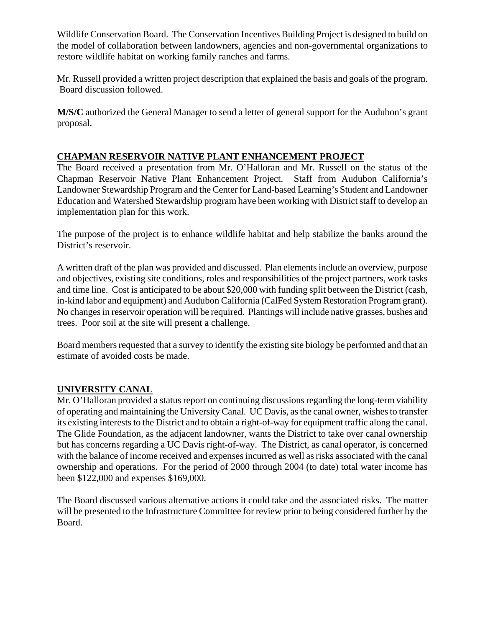Wildlife Conservation Board. The Conservation Incentives Building Project is designed to build on the model of collaboration between landowners, agencies and non-governmental organizations to restore wildlife habitat on working family ranches and farms.

Mr. Russell provided a written project description that explained the basis and goals of the program. Board discussion followed.

**M/S/C** authorized the General Manager to send a letter of general support for the Audubon's grant proposal.

# **CHAPMAN RESERVOIR NATIVE PLANT ENHANCEMENT PROJECT**

The Board received a presentation from Mr. O'Halloran and Mr. Russell on the status of the Chapman Reservoir Native Plant Enhancement Project. Staff from Audubon California's Landowner Stewardship Program and the Center for Land-based Learning's Student and Landowner Education and Watershed Stewardship program have been working with District staff to develop an implementation plan for this work.

The purpose of the project is to enhance wildlife habitat and help stabilize the banks around the District's reservoir.

A written draft of the plan was provided and discussed. Plan elements include an overview, purpose and objectives, existing site conditions, roles and responsibilities of the project partners, work tasks and time line. Cost is anticipated to be about \$20,000 with funding split between the District (cash, in-kind labor and equipment) and Audubon California (CalFed System Restoration Program grant). No changes in reservoir operation will be required. Plantings will include native grasses, bushes and trees. Poor soil at the site will present a challenge.

Board members requested that a survey to identify the existing site biology be performed and that an estimate of avoided costs be made.

# **UNIVERSITY CANAL**

Mr. O'Halloran provided a status report on continuing discussions regarding the long-term viability of operating and maintaining the University Canal. UC Davis, as the canal owner, wishes to transfer its existing interests to the District and to obtain a right-of-way for equipment traffic along the canal. The Glide Foundation, as the adjacent landowner, wants the District to take over canal ownership but has concerns regarding a UC Davis right-of-way. The District, as canal operator, is concerned with the balance of income received and expenses incurred as well as risks associated with the canal ownership and operations. For the period of 2000 through 2004 (to date) total water income has been \$122,000 and expenses \$169,000.

The Board discussed various alternative actions it could take and the associated risks. The matter will be presented to the Infrastructure Committee for review prior to being considered further by the Board.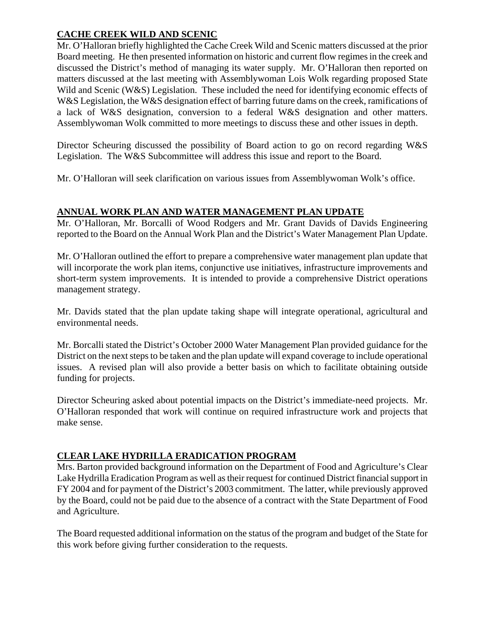# **CACHE CREEK WILD AND SCENIC**

Mr. O'Halloran briefly highlighted the Cache Creek Wild and Scenic matters discussed at the prior Board meeting. He then presented information on historic and current flow regimes in the creek and discussed the District's method of managing its water supply. Mr. O'Halloran then reported on matters discussed at the last meeting with Assemblywoman Lois Wolk regarding proposed State Wild and Scenic (W&S) Legislation. These included the need for identifying economic effects of W&S Legislation, the W&S designation effect of barring future dams on the creek, ramifications of a lack of W&S designation, conversion to a federal W&S designation and other matters. Assemblywoman Wolk committed to more meetings to discuss these and other issues in depth.

Director Scheuring discussed the possibility of Board action to go on record regarding W&S Legislation. The W&S Subcommittee will address this issue and report to the Board.

Mr. O'Halloran will seek clarification on various issues from Assemblywoman Wolk's office.

# **ANNUAL WORK PLAN AND WATER MANAGEMENT PLAN UPDATE**

Mr. O'Halloran, Mr. Borcalli of Wood Rodgers and Mr. Grant Davids of Davids Engineering reported to the Board on the Annual Work Plan and the District's Water Management Plan Update.

Mr. O'Halloran outlined the effort to prepare a comprehensive water management plan update that will incorporate the work plan items, conjunctive use initiatives, infrastructure improvements and short-term system improvements. It is intended to provide a comprehensive District operations management strategy.

Mr. Davids stated that the plan update taking shape will integrate operational, agricultural and environmental needs.

Mr. Borcalli stated the District's October 2000 Water Management Plan provided guidance for the District on the next steps to be taken and the plan update will expand coverage to include operational issues. A revised plan will also provide a better basis on which to facilitate obtaining outside funding for projects.

Director Scheuring asked about potential impacts on the District's immediate-need projects. Mr. O'Halloran responded that work will continue on required infrastructure work and projects that make sense.

# **CLEAR LAKE HYDRILLA ERADICATION PROGRAM**

Mrs. Barton provided background information on the Department of Food and Agriculture's Clear Lake Hydrilla Eradication Program as well as their request for continued District financial support in FY 2004 and for payment of the District's 2003 commitment. The latter, while previously approved by the Board, could not be paid due to the absence of a contract with the State Department of Food and Agriculture.

The Board requested additional information on the status of the program and budget of the State for this work before giving further consideration to the requests.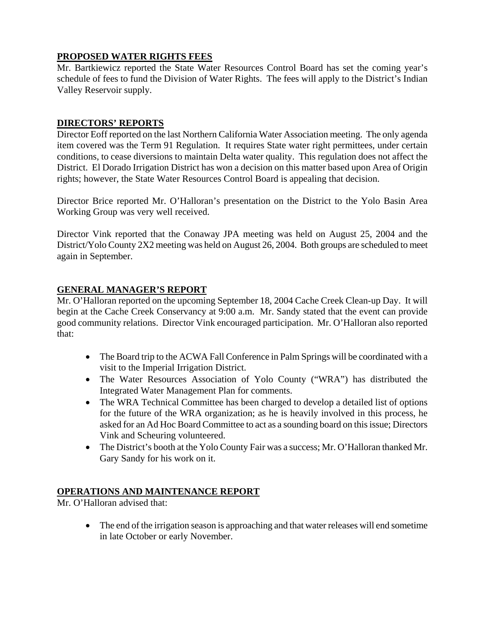## **PROPOSED WATER RIGHTS FEES**

Mr. Bartkiewicz reported the State Water Resources Control Board has set the coming year's schedule of fees to fund the Division of Water Rights. The fees will apply to the District's Indian Valley Reservoir supply.

### **DIRECTORS' REPORTS**

Director Eoff reported on the last Northern California Water Association meeting. The only agenda item covered was the Term 91 Regulation. It requires State water right permittees, under certain conditions, to cease diversions to maintain Delta water quality. This regulation does not affect the District. El Dorado Irrigation District has won a decision on this matter based upon Area of Origin rights; however, the State Water Resources Control Board is appealing that decision.

Director Brice reported Mr. O'Halloran's presentation on the District to the Yolo Basin Area Working Group was very well received.

Director Vink reported that the Conaway JPA meeting was held on August 25, 2004 and the District/Yolo County 2X2 meeting was held on August 26, 2004. Both groups are scheduled to meet again in September.

## **GENERAL MANAGER'S REPORT**

Mr. O'Halloran reported on the upcoming September 18, 2004 Cache Creek Clean-up Day. It will begin at the Cache Creek Conservancy at 9:00 a.m. Mr. Sandy stated that the event can provide good community relations. Director Vink encouraged participation. Mr. O'Halloran also reported that:

- The Board trip to the ACWA Fall Conference in Palm Springs will be coordinated with a visit to the Imperial Irrigation District.
- The Water Resources Association of Yolo County ("WRA") has distributed the Integrated Water Management Plan for comments.
- The WRA Technical Committee has been charged to develop a detailed list of options for the future of the WRA organization; as he is heavily involved in this process, he asked for an Ad Hoc Board Committee to act as a sounding board on this issue; Directors Vink and Scheuring volunteered.
- The District's booth at the Yolo County Fair was a success; Mr. O'Halloran thanked Mr. Gary Sandy for his work on it.

#### **OPERATIONS AND MAINTENANCE REPORT**

Mr. O'Halloran advised that:

 The end of the irrigation season is approaching and that water releases will end sometime in late October or early November.